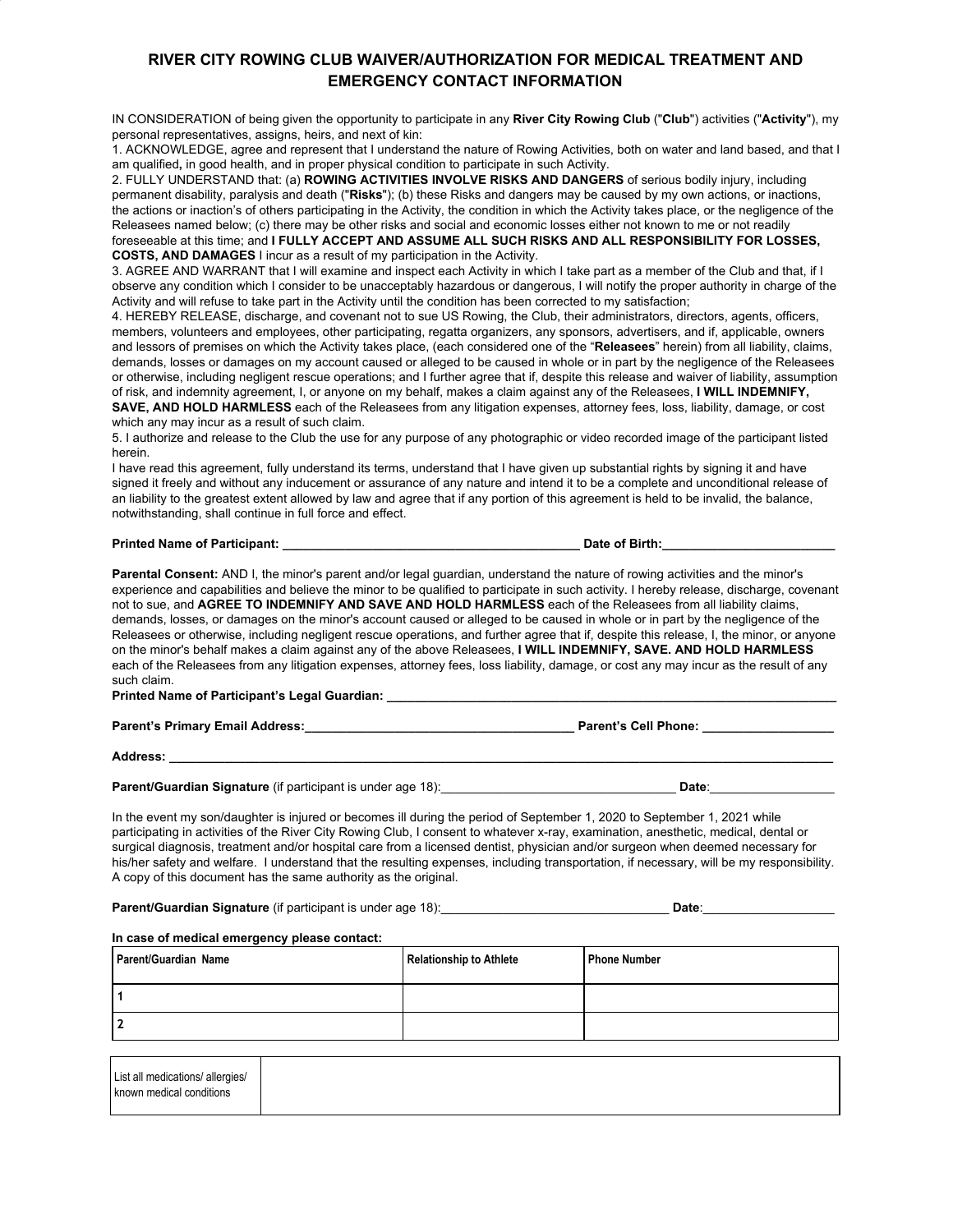## **RIVER CITY ROWING CLUB WAIVER/AUTHORIZATION FOR MEDICAL TREATMENT AND EMERGENCY CONTACT INFORMATION**

IN CONSIDERATION of being given the opportunity to participate in any **River City Rowing Club** ("**Club**") activities ("**Activity**"), my personal representatives, assigns, heirs, and next of kin:

1. ACKNOWLEDGE, agree and represent that I understand the nature of Rowing Activities, both on water and land based, and that I am qualified**,** in good health, and in proper physical condition to participate in such Activity.

2. FULLY UNDERSTAND that: (a) **ROWING ACTIVITIES INVOLVE RISKS AND DANGERS** of serious bodily injury, including permanent disability, paralysis and death ("**Risks**"); (b) these Risks and dangers may be caused by my own actions, or inactions, the actions or inaction's of others participating in the Activity, the condition in which the Activity takes place, or the negligence of the Releasees named below; (c) there may be other risks and social and economic losses either not known to me or not readily foreseeable at this time; and **I FULLY ACCEPT AND ASSUME ALL SUCH RISKS AND ALL RESPONSIBILITY FOR LOSSES,**

**COSTS, AND DAMAGES** I incur as a result of my participation in the Activity.

3. AGREE AND WARRANT that I will examine and inspect each Activity in which I take part as a member of the Club and that, if I observe any condition which I consider to be unacceptably hazardous or dangerous, I will notify the proper authority in charge of the Activity and will refuse to take part in the Activity until the condition has been corrected to my satisfaction;

4. HEREBY RELEASE, discharge, and covenant not to sue US Rowing, the Club, their administrators, directors, agents, officers, members, volunteers and employees, other participating, regatta organizers, any sponsors, advertisers, and if, applicable, owners and lessors of premises on which the Activity takes place, (each considered one of the "**Releasees**" herein) from all liability, claims, demands, losses or damages on my account caused or alleged to be caused in whole or in part by the negligence of the Releasees or otherwise, including negligent rescue operations; and I further agree that if, despite this release and waiver of liability, assumption of risk, and indemnity agreement, I, or anyone on my behalf, makes a claim against any of the Releasees, **I WILL INDEMNIFY, SAVE, AND HOLD HARMLESS** each of the Releasees from any litigation expenses, attorney fees, loss, liability, damage, or cost

which any may incur as a result of such claim. 5. I authorize and release to the Club the use for any purpose of any photographic or video recorded image of the participant listed

herein. I have read this agreement, fully understand its terms, understand that I have given up substantial rights by signing it and have signed it freely and without any inducement or assurance of any nature and intend it to be a complete and unconditional release of an liability to the greatest extent allowed by law and agree that if any portion of this agreement is held to be invalid, the balance, notwithstanding, shall continue in full force and effect.

## **Printed Name of Participant: \_\_\_\_\_\_\_\_\_\_\_\_\_\_\_\_\_\_\_\_\_\_\_\_\_\_\_\_\_\_\_\_\_\_\_\_\_\_\_\_\_\_\_ Date of Birth:\_\_\_\_\_\_\_\_\_\_\_\_\_\_\_\_\_\_\_\_\_\_\_\_\_**

**Parental Consent:** AND I, the minor's parent and/or legal guardian, understand the nature of rowing activities and the minor's experience and capabilities and believe the minor to be qualified to participate in such activity. I hereby release, discharge, covenant not to sue, and **AGREE TO INDEMNIFY AND SAVE AND HOLD HARMLESS** each of the Releasees from all liability claims, demands, losses, or damages on the minor's account caused or alleged to be caused in whole or in part by the negligence of the Releasees or otherwise, including negligent rescue operations, and further agree that if, despite this release, I, the minor, or anyone on the minor's behalf makes a claim against any of the above Releasees, **I WILL INDEMNIFY, SAVE. AND HOLD HARMLESS** each of the Releasees from any litigation expenses, attorney fees, loss liability, damage, or cost any may incur as the result of any such claim.

**Printed Name of Participant's Legal Guardian: \_\_\_\_\_\_\_\_\_\_\_\_\_\_\_\_\_\_\_\_\_\_\_\_\_\_\_\_\_\_\_\_\_\_\_\_\_\_\_\_\_\_\_\_\_\_\_\_\_\_\_\_\_\_\_\_\_\_\_\_\_\_\_\_\_**

**Parent's Primary Email Address:\_\_\_\_\_\_\_\_\_\_\_\_\_\_\_\_\_\_\_\_\_\_\_\_\_\_\_\_\_\_\_\_\_\_\_\_\_\_\_ Parent's Cell Phone: \_\_\_\_\_\_\_\_\_\_\_\_\_\_\_\_\_\_\_**

**Address: \_\_\_\_\_\_\_\_\_\_\_\_\_\_\_\_\_\_\_\_\_\_\_\_\_\_\_\_\_\_\_\_\_\_\_\_\_\_\_\_\_\_\_\_\_\_\_\_\_\_\_\_\_\_\_\_\_\_\_\_\_\_\_\_\_\_\_\_\_\_\_\_\_\_\_\_\_\_\_\_\_\_\_\_\_\_\_\_\_\_\_\_\_\_\_\_**

**Parent/Guardian Signature** (if participant is under age 18):\_\_\_\_\_\_\_\_\_\_\_\_\_\_\_\_\_\_\_\_\_\_\_\_\_\_\_\_\_\_\_\_\_\_ **Date**:\_\_\_\_\_\_\_\_\_\_\_\_\_\_\_\_\_\_

In the event my son/daughter is injured or becomes ill during the period of September 1, 2020 to September 1, 2021 while participating in activities of the River City Rowing Club, I consent to whatever x-ray, examination, anesthetic, medical, dental or surgical diagnosis, treatment and/or hospital care from a licensed dentist, physician and/or surgeon when deemed necessary for his/her safety and welfare. I understand that the resulting expenses, including transportation, if necessary, will be my responsibility. A copy of this document has the same authority as the original.

**Parent/Guardian Signature** (if participant is under age 18):\_\_\_\_\_\_\_\_\_\_\_\_\_\_\_\_\_\_\_\_\_\_\_\_\_\_\_\_\_\_\_\_\_ **Date**:\_\_\_\_\_\_\_\_\_\_\_\_\_\_\_\_\_\_\_

## **In case of medical emergency please contact:**

| Parent/Guardian Name | <b>Relationship to Athlete</b> | <b>Phone Number</b> |
|----------------------|--------------------------------|---------------------|
|                      |                                |                     |
|                      |                                |                     |

|  | List all medications/ allergies/<br>known medical conditions |  |  |  |  |  |  |
|--|--------------------------------------------------------------|--|--|--|--|--|--|
|--|--------------------------------------------------------------|--|--|--|--|--|--|